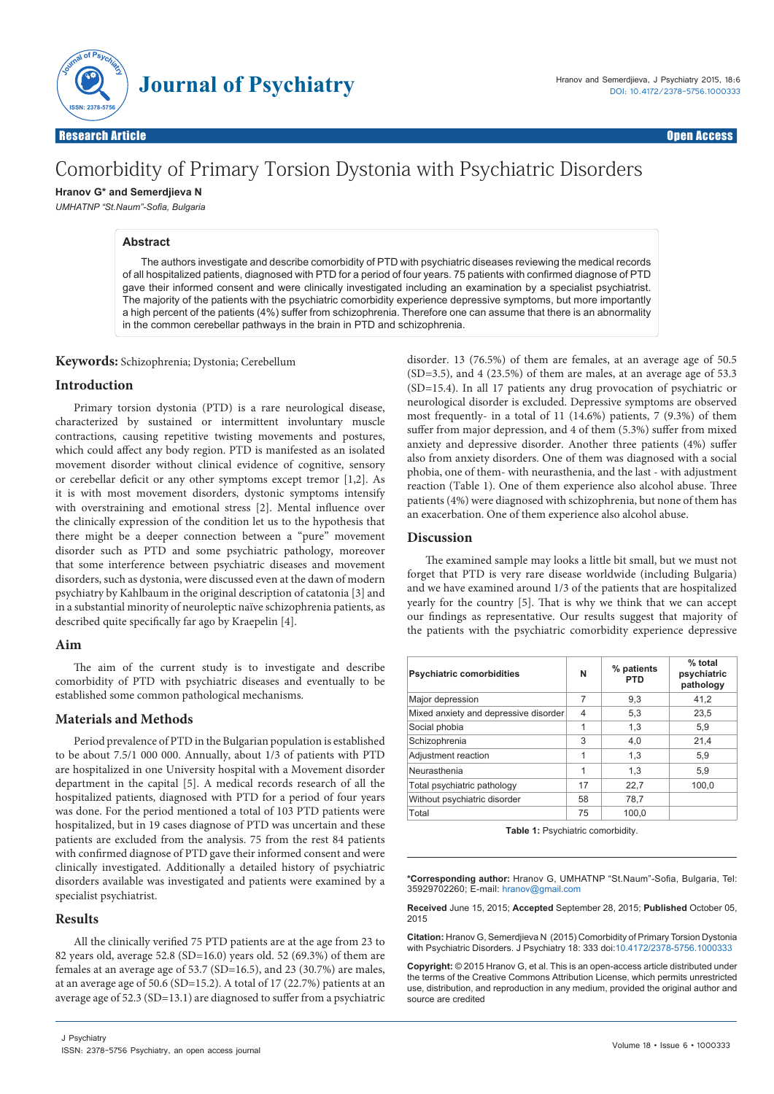

# Comorbidity of Primary Torsion Dystonia with Psychiatric Disorders

**Hranov G\* and Semerdjieva N** 

*UMHATNP "St.Naum"-Sofia, Bulgaria*

## **Abstract**

The authors investigate and describe comorbidity of PTD with psychiatric diseases reviewing the medical records of all hospitalized patients, diagnosed with PTD for a period of four years. 75 patients with confirmed diagnose of PTD gave their informed consent and were clinically investigated including an examination by a specialist psychiatrist. The majority of the patients with the psychiatric comorbidity experience depressive symptoms, but more importantly a high percent of the patients (4%) suffer from schizophrenia. Therefore one can assume that there is an abnormality in the common cerebellar pathways in the brain in PTD and schizophrenia.

**Keywords:** Schizophrenia; Dystonia; Cerebellum

### **Introduction**

Primary torsion dystonia (PTD) is a rare neurological disease, characterized by sustained or intermittent involuntary muscle contractions, causing repetitive twisting movements and postures, which could affect any body region. PTD is manifested as an isolated movement disorder without clinical evidence of cognitive, sensory or cerebellar deficit or any other symptoms except tremor [1,2]. As it is with most movement disorders, dystonic symptoms intensify with overstraining and emotional stress [2]. Mental influence over the clinically expression of the condition let us to the hypothesis that there might be a deeper connection between a "pure" movement disorder such as PTD and some psychiatric pathology, moreover that some interference between psychiatric diseases and movement disorders, such as dystonia, were discussed even at the dawn of modern psychiatry by Kahlbaum in the original description of catatonia [3] and in a substantial minority of neuroleptic naïve schizophrenia patients, as described quite specifically far ago by Kraepelin [4].

### **Aim**

The aim of the current study is to investigate and describe comorbidity of PTD with psychiatric diseases and eventually to be established some common pathological mechanisms.

### **Materials and Methods**

Period prevalence of PTD in the Bulgarian population is established to be about 7.5/1 000 000. Annually, about 1/3 of patients with PTD are hospitalized in one University hospital with a Movement disorder department in the capital [5]. A medical records research of all the hospitalized patients, diagnosed with PTD for a period of four years was done. For the period mentioned a total of 103 PTD patients were hospitalized, but in 19 cases diagnose of PTD was uncertain and these patients are excluded from the analysis. 75 from the rest 84 patients with confirmed diagnose of PTD gave their informed consent and were clinically investigated. Additionally a detailed history of psychiatric disorders available was investigated and patients were examined by a specialist psychiatrist.

### **Results**

All the clinically verified 75 PTD patients are at the age from 23 to 82 years old, average 52.8 (SD=16.0) years old. 52 (69.3%) of them are females at an average age of 53.7 (SD=16.5), аnd 23 (30.7%) are males, at an average age of 50.6 (SD=15.2). A total of 17 (22.7%) patients at an average age of 52.3 (SD=13.1) are diagnosed to suffer from a psychiatric

disorder. 13 (76.5%) of them are females, at an average age of 50.5 (SD=3.5), and 4 (23.5%) of them are males, at an average age of 53.3 (SD=15.4). In all 17 patients any drug provocation of psychiatric or neurological disorder is excluded. Depressive symptoms are observed most frequently- in a total of 11 (14.6%) patients, 7 (9.3%) of them suffer from major depression, and 4 of them (5.3%) suffer from mixed anxiety and depressive disorder. Another three patients (4%) suffer also from anxiety disorders. One of them was diagnosed with a social phobia, one of them- with neurasthenia, and the last - with adjustment reaction (Table 1). One of them experience also alcohol abuse. Three patients (4%) were diagnosed with schizophrenia, but none of them has an exacerbation. One of them experience also alcohol abuse.

## **Discussion**

The examined sample may looks a little bit small, but we must not forget that PTD is very rare disease worldwide (including Bulgaria) and we have examined around 1/3 of the patients that are hospitalized yearly for the country [5]. That is why we think that we can accept our findings as representative. Our results suggest that majority of the patients with the psychiatric comorbidity experience depressive

| <b>Psychiatric comorbidities</b>      | N  | % patients<br><b>PTD</b> | % total<br>psychiatric<br>pathology |
|---------------------------------------|----|--------------------------|-------------------------------------|
| Major depression                      | 7  | 9,3                      | 41.2                                |
| Mixed anxiety and depressive disorder | 4  | 5,3                      | 23.5                                |
| Social phobia                         | 1  | 1,3                      | 5,9                                 |
| Schizophrenia                         | 3  | 4.0                      | 21.4                                |
| Adjustment reaction                   | 1  | 1,3                      | 5,9                                 |
| Neurasthenia                          | 1  | 1,3                      | 5,9                                 |
| Total psychiatric pathology           | 17 | 22,7                     | 100.0                               |
| Without psychiatric disorder          | 58 | 78.7                     |                                     |
| Total                                 | 75 | 100.0                    |                                     |

Table 1: Psychiatric comorbidity.

**\*Corresponding author:** Hranov G, UMHATNP "St.Naum"-Sofia, Bulgaria, Tel: 35929702260; E-mail: hranov@gmail.com

**Received** June 15, 2015; **Accepted** September 28, 2015; **Published** October 05, 2015

**Citation:** Hranov G, Semerdjieva N (2015) Comorbidity of Primary Torsion Dystonia with Psychiatric Disorders. J Psychiatry 18: 333 doi:10.4172/2378-5756.1000333

**Copyright:** © 2015 Hranov G, et al. This is an open-access article distributed under the terms of the Creative Commons Attribution License, which permits unrestricted use, distribution, and reproduction in any medium, provided the original author and source are credited